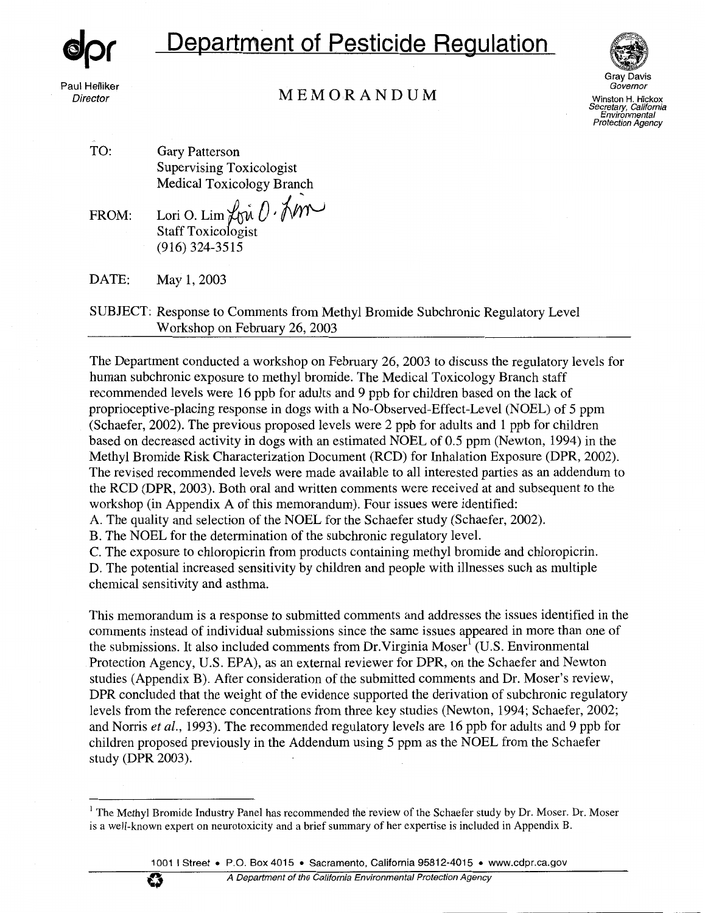

Paul Helliker **Director** 

# **Department of Pesticide Regulation**





Winston H. Hickox Secretary, California Environmental Protection Agency

TO: Gary Patterson Supervising Toxicologist Medical Toxicology Branch

FROM: Lori O. Lim  $\overline{\psi}$   $\hat{\psi}$   $\hat{\psi}$ Staff Toxicologist (916) 324-3515

DATE: May 1, 2003

SUBJECT: Response to Comments from Methyl Bromide Subchronic Regulatory Level Workshop on February 26, 2003

The Department conducted a workshop on February 26, 2003 to discuss the regulatory levels for human subchronic exposure to methyl bromide. The Medical Toxicology Branch staff recommended levels were 16 ppb for adults and 9 ppb for children based on the lack of proprioceptive-placing response in dogs with a No-Observed-Effect-Level (NOEL) of 5 ppm (Schaefer, 2002). The previous proposed levels were 2 ppb for adults and 1 ppb for children based on decreased activity in dogs with an estimated NOEL of 0.5 ppm (Newton, 1994) in the Methyl Bromide Risk Characterization Document (RCD) for Inhalation Exposure (DPR, 2002). The revised recommended levels were made available to all interested parties as an addendum to the RCD (DPR, 2003). Both oral and written comments were received at and subsequent to the workshop (in Appendix A of this memorandum). Four issues were identified:

A. The quality and selection of the NOEL for the Schaefer study (Schaefer, 2002).

B. The NOEL for the determination of the subchronic regulatory level.

C. The exposure to chloropicrin from products containing methyl bromide and chloropicrin. D. The potential increased sensitivity by children and people with illnesses such as multiple chemical sensitivity and asthma.

This memorandum is a response to submitted comments and addresses the issues identified in the comments instead of individual submissions since the same issues appeared in more than one of the submissions. It also included comments from  $Dr.Virginia Moser<sup>1</sup> (U.S. Environmental)$ Protection Agency, U.S. EPA), as an external reviewer for DPR, on the Schaefer and Newton studies (Appendix B). After consideration of the submitted comments and Dr. Moser's review, DPR concluded that the weight of the evidence supported the derivation of subchronic regulatory levels from the reference concentrations from three key studies (Newton, 1994; Schaefer, 2002; and Norris *et al.,* 1993). The recommended regulatory levels are 16 ppb for adults and 9 ppb for children proposed previously in the Addendum using 5 ppm as the NOEL from the Schaefer study **(DPR** 2003).

<sup>&</sup>lt;sup>1</sup> The Methyl Bromide Industry Panel has recommended the review of the Schaefer study by Dr. Moser. Dr. Moser is a well-known expert on neurotoxicity and a brief summary of her expertise is included in Appendix B.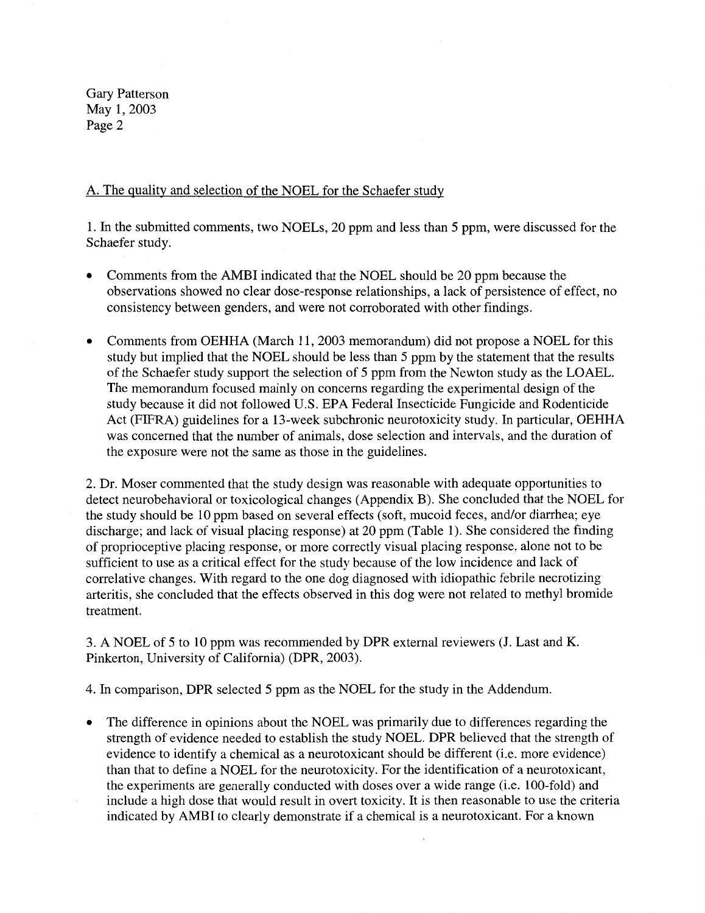### A. The quality and selection of the NOEL for the Schaefer study

1. In the submitted comments, two NOELs, 20 ppm and less than 5 ppm, were discussed for the Schaefer study.

- Comments from the AMBI indicated that the NOEL should be 20 ppm because the observations showed no clear dose-response relationships, a lack of persistence of effect, no consistency between genders, and were not corroborated with other findings.
- Comments from OEHHA (March 11, 2003 memorandum) did not propose a NOEL for this study but implied that the NOEL should be less than 5 ppm by the statement that the results of the Schaefer study support the selection of 5 ppm from the Newton study as the LOAEL. The memorandum focused mainly on concerns regarding the experimental design of the study because it did not followed U.S. EPA Federal Insecticide Fungicide and Rodenticide Act (FIFRA) guidelines for a 13-week subchronic neurotoxicity study. In particular, OEHHA was concerned that the number of animals, dose selection and intervals, and the duration of the exposure were not the same as those in the guidelines.

2. Dr. Moser commented that the study design was reasonable with adequate opportunities to detect neurobehavioral or toxicological changes (Appendix B). She concluded that the NOEL for the study should be 10 ppm based on several effects (soft, mucoid feces, and/or diarrhea; eye discharge; and lack of visual placing response) at 20 ppm (Table 1). She considered the finding of proprioceptive placing response, or more correctly visual placing response, alone not to be sufficient to use as a critical effect for the study because of the low incidence and lack of correlative changes. With regard to the one dog diagnosed with idiopathic febrile necrotizing arteritis, she concluded that the effects observed in this dog were not related to methyl bromide treatment.

3. A NOEL of 5 to 10 ppm was recommended by DPR external reviewers (J. Last and K. Pinkerton, University of California) (DPR, 2003).

4. In comparison, DPR selected 5 ppm as the NOEL for the study in the Addendum.

• The difference in opinions about the NOEL was primarily due to differences regarding the strength of evidence needed to establish the study NOEL. DPR believed that the strength of evidence to identify a chemical as a neurotoxicant should be different (i.e. more evidence) than that to define a NOEL for the neurotoxicity. For the identification of a neurotoxicant, the experiments are generally conducted with doses over a wide range (i.e. 100-fold) and include a high dose that would result in overt toxicity. It is then reasonable to use the criteria indicated by AMBI to clearly demonstrate if a chemical is a neurotoxicant. For a known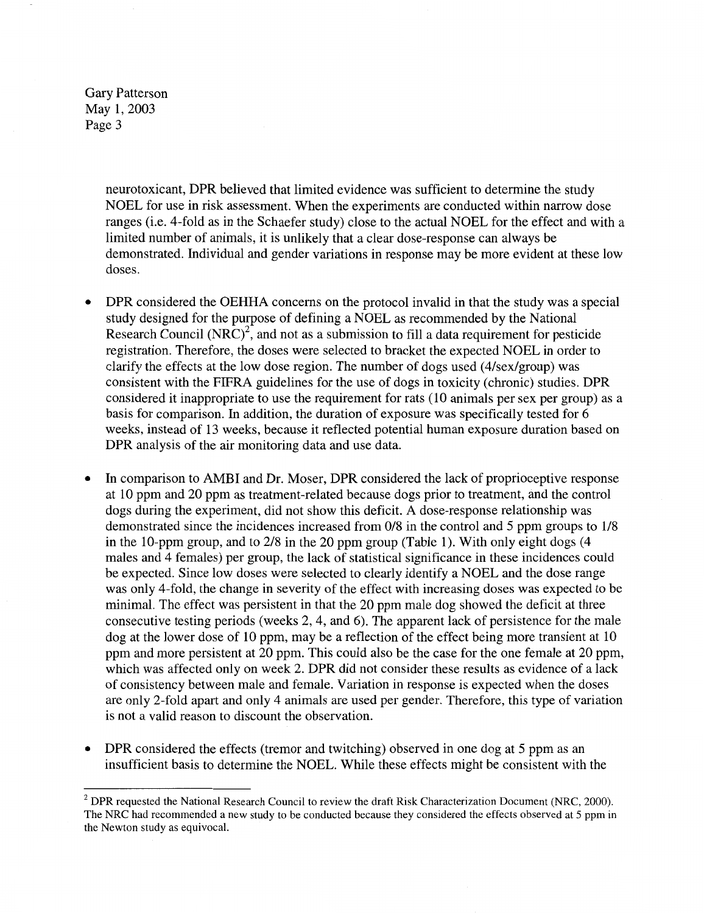> neurotoxicant, DPR believed that limited evidence was sufficient to determine the study NOEL for use in risk assessment. When the experiments are conducted within narrow dose ranges (i.e. 4-fold as in the Schaefer study) close to the actual NOEL for the effect and with a limited number of animals, it is unlikely that a clear dose-response can always be demonstrated. Individual and gender variations in response may be more evident at these low doses.

- DPR considered the OEHHA concerns on the protocol invalid in that the study was a special study designed for the purpose of defining a NOEL as recommended by the National Research Council  $(NRC)^2$ , and not as a submission to fill a data requirement for pesticide registration. Therefore, the doses were selected to bracket the expected NOEL in order to clarify the effects at the low dose region. The number of dogs used (4/sex/group) was consistent with the FIFRA guidelines for the use of dogs in toxicity (chronic) studies. DPR considered it inappropriate to use the requirement for rats ( 10 animals per sex per group) as a basis for comparison. In addition, the duration of exposure was specifically tested for 6 weeks, instead of 13 weeks, because it reflected potential human exposure duration based on DPR analysis of the air monitoring data and use data.
- In comparison to AMBI and Dr. Moser, DPR considered the lack of proprioceptive response at 10 ppm and 20 ppm as treatment-related because dogs prior to treatment, and the control dogs during the experiment, did not show this deficit. A dose-response relationship was demonstrated since the incidences increased from 0/8 in the control and 5 ppm groups to 1/8 in the 10-ppm group, and to 2/8 in the 20 ppm group (Table 1). With only eight dogs (4 males and 4 females) per group, the lack of statistical significance in these incidences could be expected. Since low doses were selected to clearly identify a NOEL and the dose range was only 4-fold, the change in severity of the effect with increasing doses was expected to be minimal. The effect was persistent in that the 20 ppm male dog showed the deficit at three consecutive testing periods (weeks 2, 4, and 6). The apparent lack of persistence for the male dog at the lower dose of 10 ppm, may be a reflection of the effect being more transient at 10 ppm and more persistent at 20 ppm. This could also be the case for the one female at 20 ppm, which was affected only on week 2. DPR did not consider these results as evidence of a lack of consistency between male and female. Variation in response is expected when the doses are only 2-fold apart and only 4 animals are used per gender. Therefore, this type of variation is not a valid reason to discount the observation.
- **DPR** considered the effects (tremor and twitching) observed in one dog at 5 ppm as an insufficient basis to determine the NOEL. While these effects might be consistent with the

<sup>&</sup>lt;sup>2</sup> DPR requested the National Research Council to review the draft Risk Characterization Document (NRC, 2000). The NRC had recommended a new study to be conducted because they considered the effects observed at 5 ppm in the Newton study as equivocal.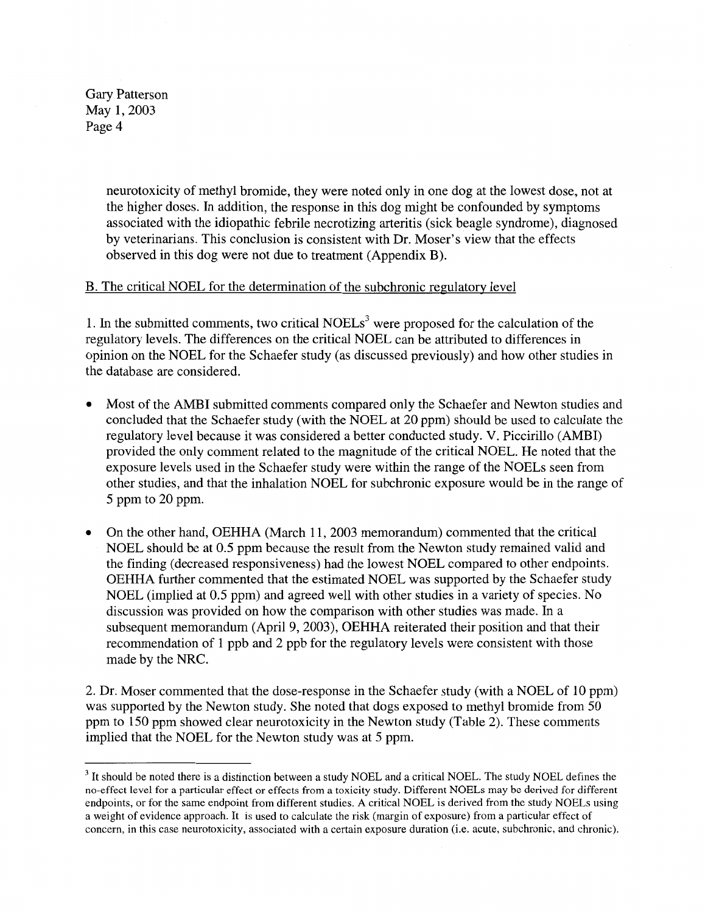> neurotoxicity of methyl bromide, they were noted only in one dog at the lowest dose, not at the higher doses. **In** addition, the response in this dog might be confounded by symptoms associated with the idiopathic febrile necrotizing arteritis (sick beagle syndrome), diagnosed by veterinarians. This conclusion is consistent with Dr. Moser's view that the effects observed in this dog were not due to treatment (Appendix B).

## B. The critical NOEL for the determination of the subchronic regulatory level

1. In the submitted comments, two critical NOELs<sup>3</sup> were proposed for the calculation of the regulatory levels. The differences on the critical NOEL can be attributed to differences in opinion on the NOEL for the Schaefer study (as discussed previously) and how other studies in the database are considered.

- Most of the AMBI submitted comments compared only the Schaefer and Newton studies and concluded that the Schaefer study (with the NOEL at 20 ppm) should be used to calculate the regulatory level because it was considered a better conducted study. V. Piccirillo (AMBI) provided the only comment related to the magnitude of the critical NOEL. He noted that the exposure levels used in the Schaefer study were within the range of the NOELs seen from other studies, and that the inhalation NOEL for subchronic exposure would be in the range of 5 ppm to 20 ppm.
- On the other hand, OEHHA (March 11, 2003 memorandum) commented that the critical NOEL should be at 0.5 ppm because the result from the Newton study remained valid and the finding (decreased responsiveness) had the lowest NOEL compared to other endpoints. OEHHA further commented that the estimated NOEL was supported by the Schaefer study NOEL (implied at 0.5 ppm) and agreed well with other studies in a variety of species. No discussion was provided on how the comparison with other studies was made. In a subsequent memorandum (April 9, 2003), OEHHA reiterated their position and that their recommendation of 1 ppb and 2 ppb for the regulatory levels were consistent with those made by the NRC.

2. Dr. Moser commented that the dose-response in the Schaefer study (with a NOEL of 10 ppm) was supported by the Newton study. She noted that dogs exposed to methyl bromide from 50 ppm to 150 ppm showed clear neurotoxicity in the Newton study (Table 2). These comments implied that the NOEL for the Newton study was at 5 ppm.

<sup>&</sup>lt;sup>3</sup> It should be noted there is a distinction between a study NOEL and a critical NOEL. The study NOEL defines the no-effect level for a particular effect or effects from a toxicity study. Different NOELs may be derived for different endpoints, or for the same endpoint from different studies. A critical NOEL is derived from the study NOELs using a weight of evidence approach. It is used to calculate the risk (margin of exposure) from a particular effect of concern, in this case neurotoxicity, associated with a certain exposure duration (i.e. acute, subchronic, and chronic).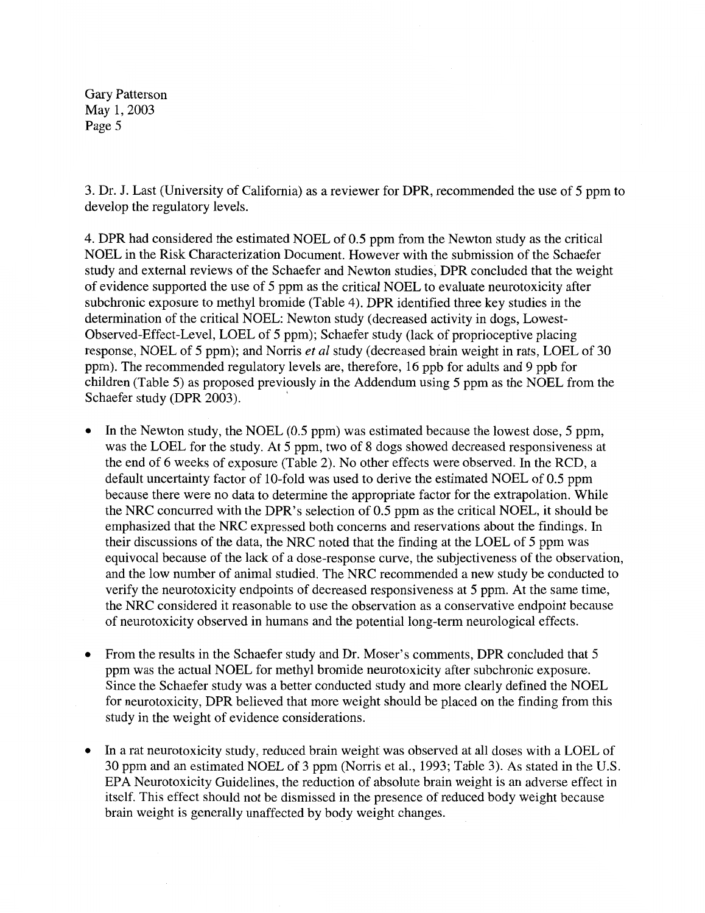3. Dr. J. Last (University of California) as a reviewer for DPR, recommended the use of 5 ppm to develop the regulatory levels.

4. DPR had considered the estimated NOEL of 0.5 ppm from the Newton study as the critical NOEL in the Risk Characterization Document. However with the submission of the Schaefer study and external reviews of the Schaefer and Newton studies, DPR concluded that the weight of evidence supported the use of 5 ppm as the critical NOEL to evaluate neurotoxicity after subchronic exposure to methyl bromide (Table 4). DPR identified three key studies in the determination of the critical NOEL: Newton study (decreased activity in dogs, Lowest-Observed-Effect-Level, LOEL of 5 ppm); Schaefer study (lack of proprioceptive placing response, NOEL of 5 ppm); and Norris *et al* study (decreased brain weight in rats, LOEL of 30 ppm). The recommended regulatory levels are, therefore, 16 ppb for adults and 9 ppb for children (Table 5) as proposed previously in the Addendum using 5 ppm as the NOEL from the Schaefer study (DPR 2003).

- In the Newton study, the NOEL (0.5 ppm) was estimated because the lowest dose, 5 ppm, was the LOEL for the study. At 5 ppm, two of 8 dogs showed decreased responsiveness at the end of 6 weeks of exposure (Table 2). No other effects were observed. In the RCD, a default uncertainty factor of 10-fold was used to derive the estimated NOEL of 0.5 ppm because there were no data to determine the appropriate factor for the extrapolation. While the NRC concurred with the DPR's selection of 0.5 ppm as the critical NOEL, it should be emphasized that the NRC expressed both concerns and reservations about the findings. In their discussions of the data, the NRC noted that the finding at the LOEL of 5 ppm was equivocal because of the lack of a dose-response curve, the subjectiveness of the observation, and the low number of animal studied. The NRC recommended a new study be conducted to verify the neurotoxicity endpoints of decreased responsiveness at 5 ppm. At the same time, the NRC considered it reasonable to use the observation as a conservative endpoint because of neurotoxicity observed **in** humans and the potential long-term neurological effects.
- From the results in the Schaefer study and Dr. Moser's comments, **DPR** concluded that 5 ppm was the actual NOEL for methyl bromide neurotoxicity after subchronic exposure. Since the Schaefer study was a better conducted study and more clearly defined the NOEL for neurotoxicity, DPR believed that more weight should be placed on the finding from this study in the weight of evidence considerations.
- In a rat neurotoxicity study, reduced brain weight was observed at all doses with a LOEL of 30 ppm and an estimated NOEL of 3 ppm (Norris et al., 1993; Table 3). As stated in the U.S. EPA Neurotoxicity Guidelines, the reduction of absolute brain weight is an adverse effect in itself. This effect should not be dismissed in the presence of reduced body weight because brain weight is generally unaffected by body weight changes.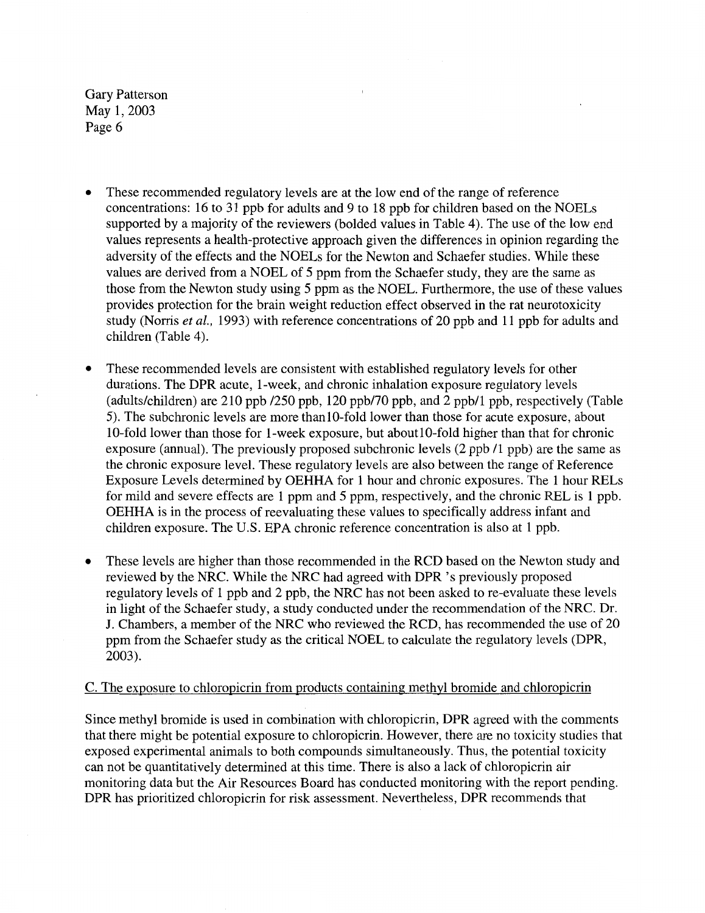- These recommended regulatory levels are at the low end of the range of reference concentrations: 16 to 31 ppb for adults and 9 to 18 ppb for children based on the NOELs supported by a majority of the reviewers (bolded values in Table 4). The use of the low end values represents a health-protective approach given the differences in opinion regarding the adversity of the effects and the NOELs for the Newton and Schaefer studies. While these values are derived from a NOEL of 5 ppm from the Schaefer study, they are the same as those from the Newton study using 5 ppm as the NOEL. Furthermore, the use of these values provides protection for the brain weight reduction effect observed in the rat neurotoxicity study (Norris *et al.,* 1993) with reference concentrations of 20 ppb and 11 ppb for adults and children (Table 4).
- These recommended levels are consistent with established regulatory levels for other durations. The DPR acute, 1-week, and chronic inhalation exposure regulatory levels (adults/children) are 210 ppb /250 ppb, 120 ppb/70 ppb, and 2 ppb/1 ppb, respectively (Table 5). The subchronic levels are more thanlO-fold lower than those for acute exposure, about 10-fold lower than those for 1-week exposure, but aboutlO-fold higher than that for chronic exposure (annual). The previously proposed subchronic levels (2 ppb /1 ppb) are the same as the chronic exposure level. These regulatory levels are also between the range of Reference Exposure Levels determined by OEHHA for 1 hour and chronic exposures. The 1 hour RELs for mild and severe effects are 1 ppm and 5 ppm, respectively, and the chronic REL is 1 ppb. OEHHA is in the process of reevaluating these values to specifically address infant and children exposure. The U.S. EPA chronic reference concentration is also at 1 ppb.
- These levels are higher than those recommended in the RCD based on the Newton study and reviewed by the NRC. While the NRC had agreed with DPR 's previously proposed regulatory levels of 1 ppb and 2 ppb, the NRC has not been asked to re-evaluate these levels in light of the Schaefer study, a study conducted under the recommendation of the NRC. Dr. J. Chambers, a member of the NRC who reviewed the RCD, has recommended the use of 20 ppm from the Schaefer study as the critical NOEL to calculate the regulatory levels (DPR, 2003).

#### C. The exposure to chloropicrin from products containing methyl bromide and chloropicrin

Since methyl bromide is used in combination with chloropicrin, DPR agreed with the comments that there might be potential exposure to chloropicrin. However, there are no toxicity studies that exposed experimental animals to both compounds simultaneously. Thus, the potential toxicity can not be quantitatively determined at this time. There is also a lack of chloropicrin air monitoring data but the Air Resources Board has conducted monitoring with the report pending. DPR has prioritized chloropicrin for risk assessment. Nevertheless, DPR recommends that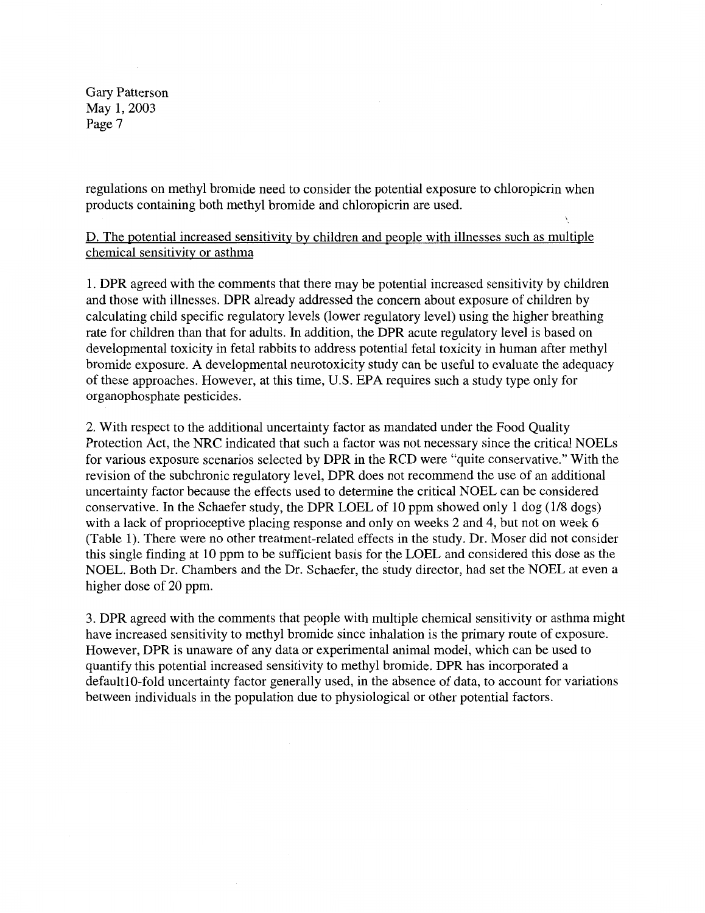regulations on methyl bromide need to consider the potential exposure to chloropicrin when products containing both methyl bromide and chloropicrin are used.

D. The potential increased sensitivity by children and people with illnesses such as multiple chemical sensitivity or asthma

1. DPR agreed with the comments that there may be potential increased sensitivity by children and those with illnesses. **DPR** already addressed the concern about exposure of children by calculating child specific regulatory levels (lower regulatory level) using the higher breathing rate for children than that for adults. **In** addition, the **DPR** acute regulatory level is based on developmental toxicity in fetal rabbits to address potential fetal toxicity in human after methyl bromide exposure. A developmental neurotoxicity study can be useful to evaluate the adequacy of these approaches. However, at this time, U.S. EPA requires such a study type only for organophosphate pesticides.

2. With respect to the additional uncertainty factor as mandated under the Food Quality Protection Act, the NRC indicated that such a factor was not necessary since the critical NOELs for various exposure scenarios selected by DPR in the RCD were "quite conservative." With the revision of the subchronic regulatory level, DPR does not recommend the use of an additional uncertainty factor because the effects used to determine the critical NOEL can be considered conservative. In the Schaefer study, the DPR LOEL of 10 ppm showed only 1 dog (1/8 dogs) with a lack of proprioceptive placing response and only on weeks 2 and 4, but not on week 6 (Table 1). There were no other treatment-related effects in the study. Dr. Moser did not consider this single finding at 10 ppm to be sufficient basis for the LOEL and considered this dose as the NOEL. Both Dr. Chambers and the Dr. Schaefer, the study director, had set the NOEL at even a higher dose of 20 ppm.

3. DPR agreed with the comments that people with multiple chemical sensitivity or asthma might have increased sensitivity to methyl bromide since inhalation is the primary route of exposure. However, DPR is unaware of any data or experimental animal model, which can be used to quantify this potential increased sensitivity to methyl bromide. DPR has incorporated a defaultlO-fold uncertainty factor generally used, in the absence of data, to account for variations between individuals in the population due to physiological or other potential factors.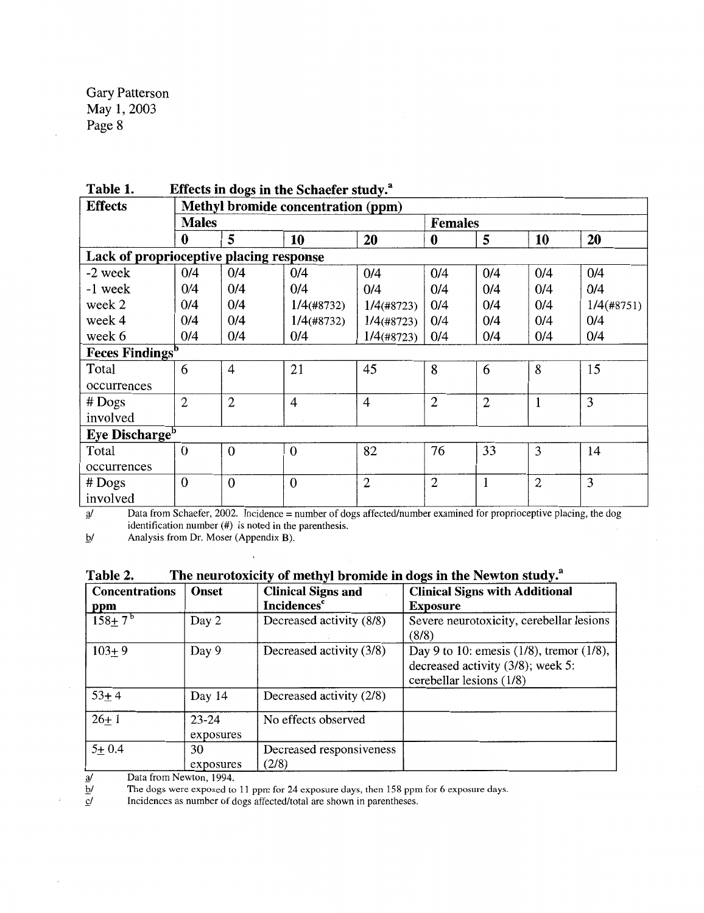| <b>Effects</b>                          | Methyl bromide concentration (ppm) |                  |                |                |                |                |              |               |  |
|-----------------------------------------|------------------------------------|------------------|----------------|----------------|----------------|----------------|--------------|---------------|--|
|                                         | <b>Males</b>                       |                  |                | <b>Females</b> |                |                |              |               |  |
|                                         | 0                                  | 5                | 10             | 20             | $\bf{0}$       | 5              | 10           | 20            |  |
| Lack of proprioceptive placing response |                                    |                  |                |                |                |                |              |               |  |
| -2 week                                 | 0/4                                | 0/4              | 0/4            | 0/4            | 0/4            | 0/4            | 0/4          | 0/4           |  |
| -1 week                                 | 0/4                                | 0/4              | 0/4            | 0/4            | 0/4            | 0/4            | 0/4          | 0/4           |  |
| week 2                                  | 0/4                                | 0/4              | $1/4$ (#8732)  | $1/4$ (#8723)  | 0/4            | 0/4            | 0/4          | $1/4$ (#8751) |  |
| week 4                                  | 0/4                                | 0/4              | $1/4$ (#8732)  | $1/4$ (#8723)  | 0/4            | 0/4            | 0/4          | 0/4           |  |
| week 6                                  | 0/4                                | 0/4              | 0/4            | $1/4$ (#8723)  | 0/4            | 0/4            | 0/4          | 0/4           |  |
| <b>Feces Findings</b> <sup>b</sup>      |                                    |                  |                |                |                |                |              |               |  |
| Total                                   | 6                                  | $\overline{4}$   | 21             | 45             | 8              | 6              | 8            | 15            |  |
| occurrences                             |                                    |                  |                |                |                |                |              |               |  |
| $#$ Dogs                                | $\overline{2}$                     | $\overline{2}$   | $\overline{4}$ | $\overline{4}$ | $\overline{2}$ | $\overline{2}$ | $\mathbf{1}$ | 3             |  |
| involved                                |                                    |                  |                |                |                |                |              |               |  |
| Eye Discharge <sup>b</sup>              |                                    |                  |                |                |                |                |              |               |  |
| Total                                   | $\mathbf{0}$                       | $\mathbf{0}$     | $\mathbf{0}$   | 82             | 76             | 33             | 3            | 14            |  |
| occurrences                             |                                    |                  |                |                |                |                |              |               |  |
| $#$ Dogs                                | $\mathbf{0}$                       | $\boldsymbol{0}$ | $\mathbf{0}$   | $\overline{2}$ | $\overline{2}$ | $\mathbf{1}$   | $\mathbf{2}$ | 3             |  |
| involved                                |                                    |                  |                |                |                |                |              |               |  |

**Table 1. Effects in dogs in the Schaefer study.3**

 $\frac{a}{a}$  Data from Schaefer, 2002. Incidence = number of dogs affected/number examined for proprioceptive placing, the dog identification number (#) is noted in the parenthesis.

 $\underline{b}$ / Analysis from Dr. Moser (Appendix B).

| Table 2. |  | The neurotoxicity of methyl bromide in dogs in the Newton study. <sup>8</sup> |
|----------|--|-------------------------------------------------------------------------------|
|          |  |                                                                               |

| <b>Concentrations</b> | <b>Onset</b>           | <b>Clinical Signs and</b>         | <b>Clinical Signs with Additional</b>                                                                             |
|-----------------------|------------------------|-----------------------------------|-------------------------------------------------------------------------------------------------------------------|
| <b>ppm</b>            |                        | <b>Incidences</b> <sup>c</sup>    | <b>Exposure</b>                                                                                                   |
| $158 + 7^b$           | Day 2                  | Decreased activity (8/8)          | Severe neurotoxicity, cerebellar lesions<br>(8/8)                                                                 |
| $103 + 9$             | Day 9                  | Decreased activity (3/8)          | Day 9 to 10: emess $(1/8)$ , tremor $(1/8)$ ,<br>decreased activity $(3/8)$ ; week 5:<br>cerebellar lesions (1/8) |
| $53 + 4$              | Day 14                 | Decreased activity (2/8)          |                                                                                                                   |
| $26+1$                | $23 - 24$<br>exposures | No effects observed               |                                                                                                                   |
| $5 + 0.4$             | 30<br>exposures        | Decreased responsiveness<br>(2/8) |                                                                                                                   |

 $\underline{b}$ / The dogs were exposed to 11 ppm for 24 exposure days, then 158 ppm for 6 exposure days.

 $\frac{d\mathbf{y}}{dt}$  Data from Newton, 1994.<br>
The dogs were exposed to  $\frac{d\mathbf{y}}{dt}$  Incidences as number of d  $\mathbf{r}$  Incidences as number of dogs affected/total are shown in parentheses.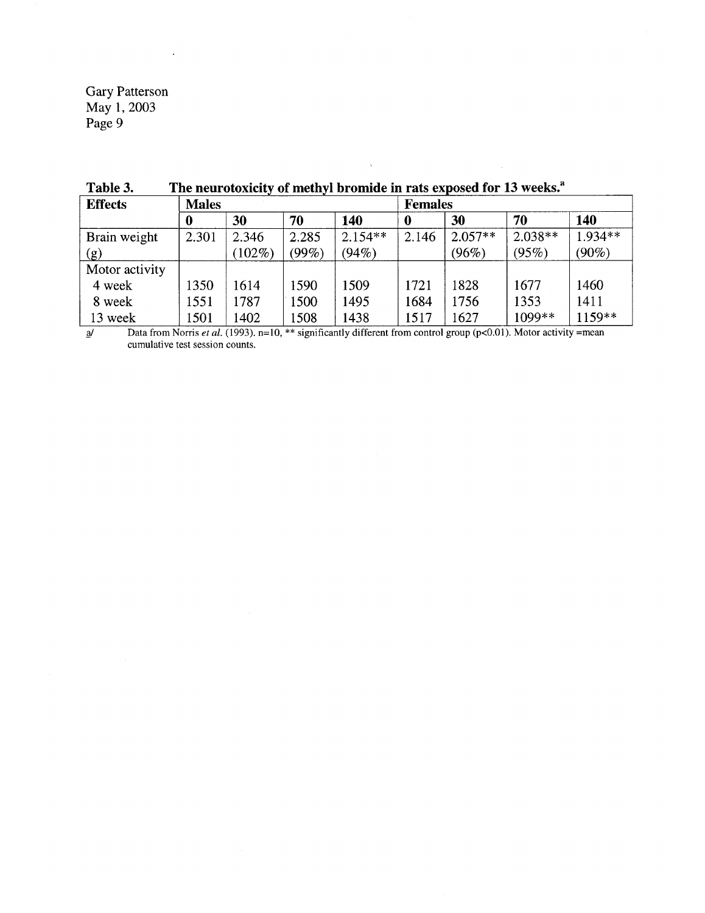| <b>Effects</b> | <b>Males</b> |           |       |           | <b>Females</b> |           |           |           |  |
|----------------|--------------|-----------|-------|-----------|----------------|-----------|-----------|-----------|--|
|                | 0            | 30        | 70    | 140       | 0              | 30        | 70        | 140       |  |
| Brain weight   | 2.301        | 2.346     | 2.285 | $2.154**$ | 2.146          | $2.057**$ | $2.038**$ | $1.934**$ |  |
| (g)            |              | $(102\%)$ | (99%) | (94%)     |                | (96%)     | (95%)     | $(90\%)$  |  |
| Motor activity |              |           |       |           |                |           |           |           |  |
| 4 week         | 1350         | 1614      | 1590  | 1509      | 1721           | 1828      | 1677      | 1460      |  |
| 8 week         | 1551         | 1787      | 1500  | 1495      | 1684           | 1756      | 1353      | 1411      |  |
| 13 week        | 1501         | 1402      | 1508  | 1438      | 1517           | 1627      | 1099**    | 1159**    |  |

Table 3. The neurotoxicity of methyl bromide in rats exposed for 13 weeks.<sup>a</sup>

2<sup>j</sup> Data from Norris *et al.* (1993). n=10, \*\* significantly different from control group (p<0.01). Motor activity =mean cumulative test session counts.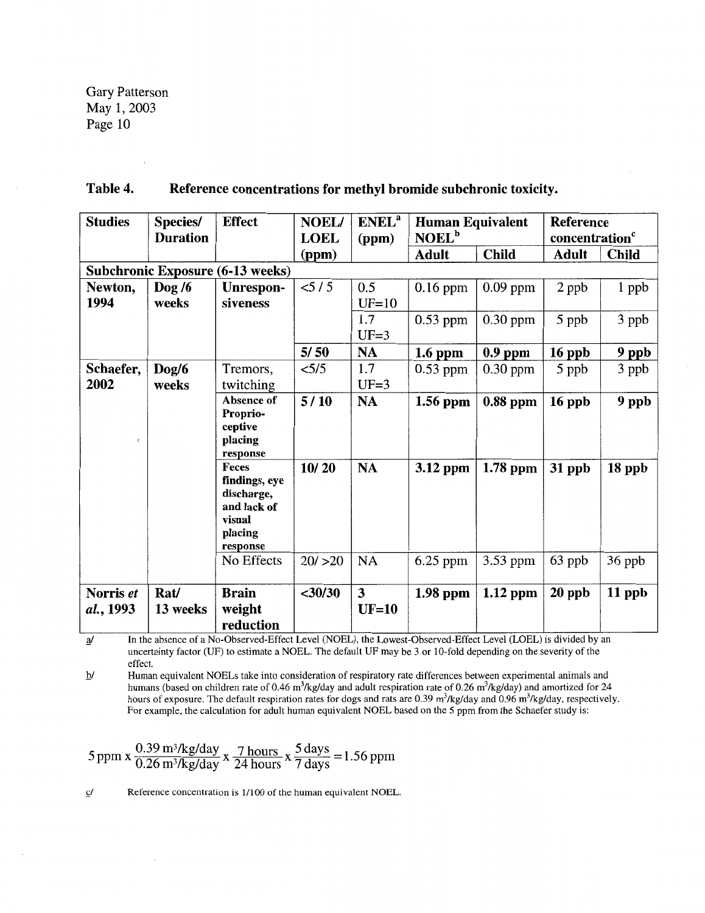| Table 4. | Reference concentrations for methyl bromide subchronic toxicity. |
|----------|------------------------------------------------------------------|
|----------|------------------------------------------------------------------|

| <b>Studies</b> | Species/        | <b>Effect</b>                           | <b>NOEL/</b> | <b>ENEL</b> <sup>a</sup> | <b>Human Equivalent</b><br>NOEL <sup>b</sup> |              | <b>Reference</b>           |              |
|----------------|-----------------|-----------------------------------------|--------------|--------------------------|----------------------------------------------|--------------|----------------------------|--------------|
|                | <b>Duration</b> |                                         | <b>LOEL</b>  | (ppm)                    |                                              |              | concentration <sup>c</sup> |              |
|                |                 |                                         | (ppm)        |                          | <b>Adult</b>                                 | <b>Child</b> | Adult                      | <b>Child</b> |
|                |                 | <b>Subchronic Exposure (6-13 weeks)</b> |              |                          |                                              |              |                            |              |
| Newton,        | $\log 76$       | Unrespon-                               | < 5/5        | 0.5                      | $0.16$ ppm                                   | $0.09$ ppm   | 2 ppb                      | 1 ppb        |
| 1994           | weeks           | siveness                                |              | $UF=10$                  |                                              |              |                            |              |
|                |                 |                                         |              | 1.7                      | $0.53$ ppm                                   | $0.30$ ppm   | 5 ppb                      | 3 ppb        |
|                |                 |                                         |              | $UF=3$                   |                                              |              |                            |              |
|                |                 |                                         | 5/50         | <b>NA</b>                | $1.6$ ppm                                    | $0.9$ ppm    | 16 ppb                     | 9 ppb        |
| Schaefer,      | $\log/6$        | Tremors,                                | < 5/5        | 1.7                      | $0.53$ ppm                                   | $0.30$ ppm   | 5 ppb                      | 3 ppb        |
| 2002           | weeks           | twitching                               |              | $UF=3$                   |                                              |              |                            |              |
|                |                 | Absence of<br>Proprio-                  | 5/10         | <b>NA</b>                | 1.56 ppm                                     | 0.88 ppm     | $16$ ppb                   | 9 ppb        |
|                |                 | ceptive                                 |              |                          |                                              |              |                            |              |
| $\epsilon$     |                 | placing                                 |              |                          |                                              |              |                            |              |
|                |                 | response                                |              |                          |                                              |              |                            |              |
|                |                 | Feces<br>findings, eye                  | 10/20        | <b>NA</b>                | 3.12 ppm                                     | 1.78 ppm     | 31 ppb                     | 18 ppb       |
|                |                 | discharge,                              |              |                          |                                              |              |                            |              |
|                |                 | and lack of                             |              |                          |                                              |              |                            |              |
|                |                 | visual                                  |              |                          |                                              |              |                            |              |
|                |                 | placing                                 |              |                          |                                              |              |                            |              |
|                |                 | response<br>No Effects                  | 20/ > 20     | NA                       | $6.25$ ppm                                   | 3.53 ppm     | 63 ppb                     | 36 ppb       |
|                |                 |                                         |              |                          |                                              |              |                            |              |
| Norris et      | Rat/            | <b>Brain</b>                            | $<$ 30/30    | 3                        | $1.98$ ppm                                   | $1.12$ ppm   | $20$ ppb                   | 11 ppb       |
| al., 1993      | 13 weeks        | weight                                  |              | $UF=10$                  |                                              |              |                            |              |
|                |                 | reduction                               |              |                          |                                              |              |                            |              |

a/ In the absence of a No-Observed-Effect Level (NOEL), the Lowest-Observed-Effect Level (LOEL) is divided by an uncertainty factor (UF) to estimate a NOEL. The default UF may be 3 or 10-fold depending on the severity of the effect.

]2/ Human equivalent NOELs take into consideration of respiratory rate differences between experimental animals and humans (based on children rate of 0.46 m<sup>3</sup>/kg/day and adult respiration rate of 0.26 m<sup>3</sup>/kg/day) and amortized for 24 hours of exposure. The default respiration rates for dogs and rats are 0.39  $m<sup>3</sup>/kg/day$  and 0.96  $m<sup>3</sup>/kg/day$ , respectively. For example, the calculation for adult human equivalent NOEL based on the 5 ppm from the Schaefer study is:

5 ppm x  $\frac{0.39 \text{ m}^3\text{/kg/day}}{0.26 \text{ m}^3\text{/kg/day}}$  x  $\frac{7 \text{ hours}}{24 \text{ hours}} \times \frac{5 \text{ days}}{7 \text{ days}} = 1.56 \text{ ppm}$ 

 $\sigma$  Reference concentration is 1/100 of the human equivalent NOEL.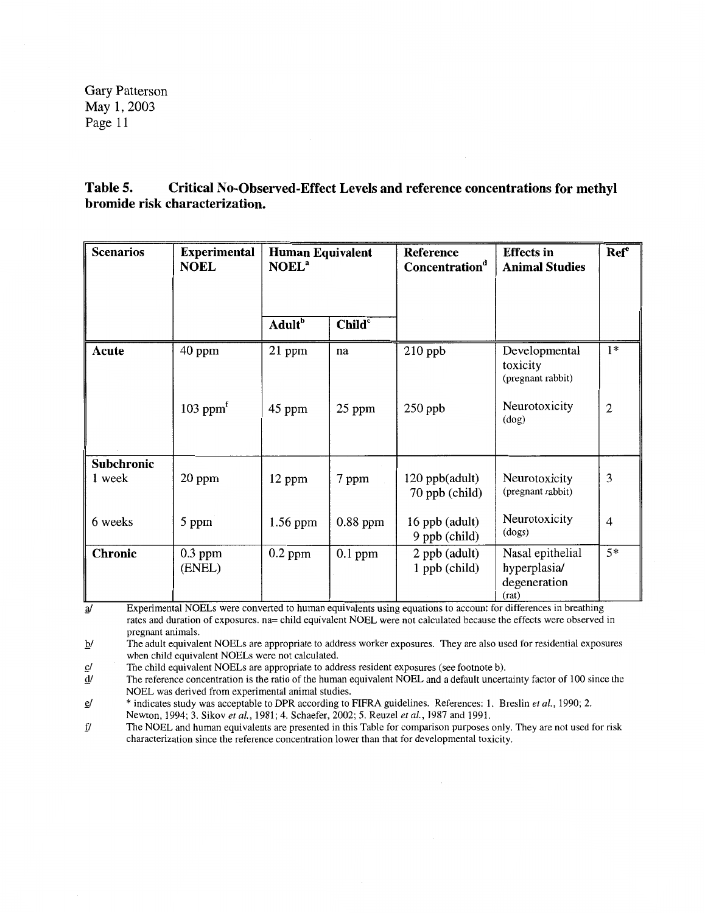**Table 5. Critical No-Observed-Effect Levels and reference concentrations for methyl bromide risk characterization.** 

| <b>Scenarios</b>            | <b>Experimental</b><br><b>NOEL</b>  | <b>Human Equivalent</b><br>NOEL <sup>a</sup> |                    | Reference<br>Concentration <sup>d</sup> | <b>Effects</b> in<br><b>Animal Studies</b>                | <b>Ref</b> <sup>e</sup> |
|-----------------------------|-------------------------------------|----------------------------------------------|--------------------|-----------------------------------------|-----------------------------------------------------------|-------------------------|
|                             |                                     | <b>Adult</b> <sup>b</sup>                    | Child <sup>c</sup> |                                         |                                                           |                         |
| Acute                       | 40 ppm                              | 21 ppm                                       | na                 | $210$ ppb                               | Developmental<br>toxicity<br>(pregnant rabbit)            | $1*$                    |
|                             | $103$ ppm <sup><math>f</math></sup> | 45 ppm                                       | 25 ppm             | $250$ ppb                               | Neurotoxicity<br>(dog)                                    | $\overline{2}$          |
| <b>Subchronic</b><br>1 week | 20 ppm                              | 12 ppm                                       | 7 ppm              | 120 ppb(adult)<br>70 ppb (child)        | Neurotoxicity<br>(pregnant rabbit)                        | 3                       |
| 6 weeks                     | 5 ppm                               | 1.56 ppm                                     | $0.88$ ppm         | 16 ppb (adult)<br>9 ppb (child)         | Neurotoxicity<br>(dogs)                                   | 4                       |
| Chronic                     | $0.3$ ppm<br>(ENEL)                 | $0.2$ ppm                                    | $0.1$ ppm          | 2 ppb (adult)<br>$1$ ppb (child)        | Nasal epithelial<br>hyperplasia/<br>degeneration<br>(rat) | $5*$                    |

<sup>1</sup>/<sub>a</sub>/ Experimental NOELs were converted to human equivalents using equations to account for differences in breathing rates and duration of exposures. na= child equivalent NOEL were not calculated because the effects were observed in pregnant animals.

*Q*<sup></sup> *QI The adult equivalent NOELs are appropriate to address worker exposures. They are also used for residential exposures* when child equivalent NOELs were not calculated.

 $c$ / The child equivalent NOELs are appropriate to address resident exposures (see footnote b).

 $\frac{d}{dx}$  The reference concentration is the ratio of the human equivalent NOEL and a default uncertainty factor of 100 since the NOEL was derived from experimental animal studies.

fl \* indicates study was acceptable to DPR according to FIFRA guidelines. References: 1. Breslin *et* al., 1990; 2. Newton, 1994; 3. Sikov *et al.,* 1981; 4. Schaefer, 2002; 5. Reuzel *et al.,* 1987 and 1991.

 $f$  The NOEL and human equivalents are presented in this Table for comparison purposes only. They are not used for risk characterization since the reference concentration lower than that for developmental toxicity.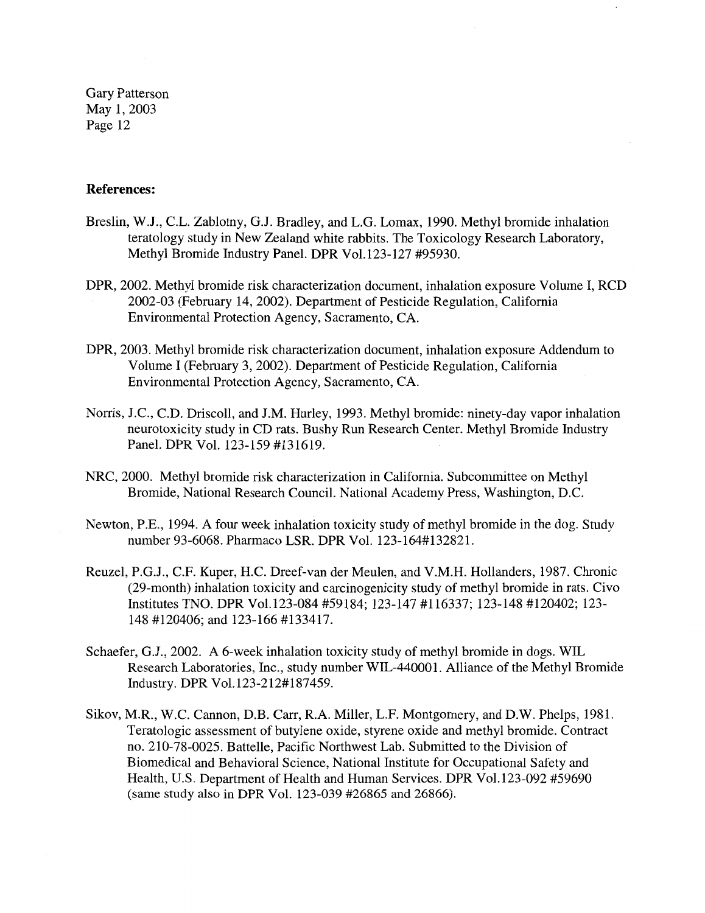#### **References:**

- Breslin, W.J., C.L. Zablotny, G.J. Bradley, and L.G. Lomax, 1990. Methyl bromide inhalation teratology study in New Zealand white rabbits. The Toxicology Research Laboratory, Methyl Bromide Industry Panel. DPR Vol.123-127 #95930.
- DPR, 2002. Methyl bromide risk characterization document, inhalation exposure Volume I, RCD 2002-03 (February 14, 2002). Department of Pesticide Regulation, California Environmental Protection Agency, Sacramento, CA.
- DPR, 2003. Methyl bromide risk characterization document, inhalation exposure Addendum to Volume I (February 3, 2002). Department of Pesticide Regulation, California Environmental Protection Agency, Sacramento, CA.
- Norris, J.C., C.D. Driscoll, and J.M. Hurley, 1993. Methyl bromide: ninety-day vapor inhalation neurotoxicity study in CD rats. Bushy Run Research Center. Methyl Bromide Industry Panel. DPR Vol. 123-159 #131619.
- **NRC,** 2000. Methyl bromide risk characterization in California. Subcommittee on Methyl Bromide, National Research Council. National Academy Press, Washington, D.C.
- Newton, P.E., 1994. A four week inhalation toxicity study of methyl bromide in the dog. Study number 93-6068. Pharmaco **LSR. DPR** Vol. 123-164#132821.
- Reuzel, P.G.J., C.F. Kuper, H.C. Dreef-van der Meulen, and V.M.H. Hollanders, 1987. Chronic (29-month) inhalation toxicity and carcinogenicity study of methyl bromide in rats. Civo Institutes TNO. DPR Vol.123-084 #59184; 123-147 #116337; 123-148 #120402; 123- 148 #120406; and 123-166 #133417.
- Schaefer, G.J., 2002. A 6-week inhalation toxicity study of methyl bromide in dogs. WIL Research Laboratories, Inc., study number WIL-440001. Alliance of the Methyl Bromide Industry. DPR Vol.123-212#187459.
- Sikov, M.R., W.C. Cannon, D.B. Carr, R.A. Miller, L.F. Montgomery, and D.W. Phelps, 1981. Teratologic assessment of butylene oxide, styrene oxide and methyl bromide. Contract no. 210-78-0025. Battelle, Pacific Northwest Lab. Submitted to the Division of Biomedical and Behavioral Science, National Institute for Occupational Safety and Health, U.S. Department of Health and Human Services. DPR Vol.123-092 #59690 (same study also in DPR Vol. 123-039 #26865 and 26866).